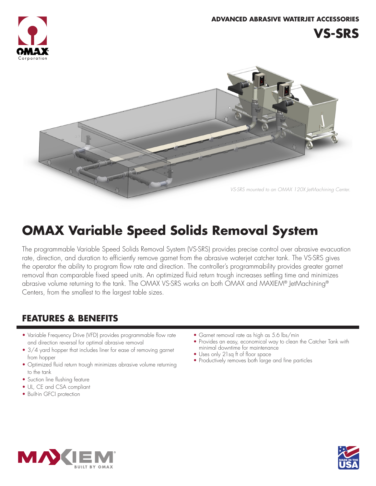



# **OMAX Variable Speed Solids Removal System**

The programmable Variable Speed Solids Removal System (VS-SRS) provides precise control over abrasive evacuation rate, direction, and duration to efficiently remove garnet from the abrasive waterjet catcher tank. The VS-SRS gives the operator the ability to program flow rate and direction. The controller's programmability provides greater garnet removal than comparable fixed speed units. An optimized fluid return trough increases settling time and minimizes abrasive volume returning to the tank. The OMAX VS-SRS works on both OMAX and MAXIEM® JetMachining® Centers, from the smallest to the largest table sizes.

# **FEATURES & BENEFITS**

- Variable Frequency Drive (VFD) provides programmable flow rate and direction reversal for optimal abrasive removal
- 3/4 yard hopper that includes liner for ease of removing garnet from hopper
- Optimized fluid return trough minimizes abrasive volume returning to the tank
- Suction line flushing feature
- UL, CE and CSA compliant
- Built-in GFCI protection
- Garnet removal rate as high as 5.6 lbs/min
- Provides an easy, economical way to clean the Catcher Tank with minimal downtime for maintenance
- Uses only 21sq ft of floor space
- Productively removes both large and fine particles